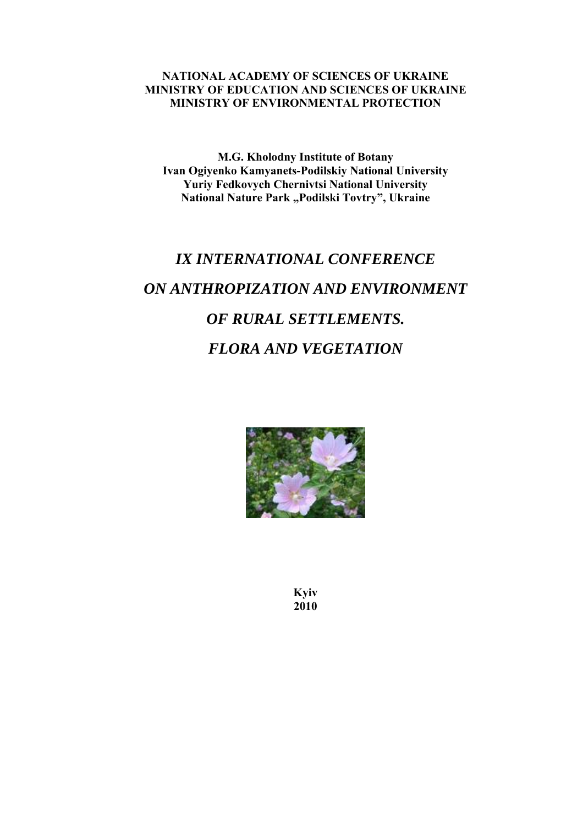#### **NATIONAL ACADEMY OF SCIENCES OF UKRAINE MINISTRY OF EDUCATION AND SCIENCES OF UKRAINE MINISTRY OF ENVIRONMENTAL PROTECTION**

**M.G. Kholodny Institute of Botany Ivan Ogiyenko Kamyanets-Podilskiy National University Yuriy Fedkovych Chernivtsi National University**  National Nature Park "Podilski Tovtry", Ukraine

# *IX INTERNATIONAL CONFERENCE ON ANTHROPIZATION AND ENVIRONMENT OF RURAL SETTLEMENTS. FLORA AND VEGETATION*



**Kyiv 2010**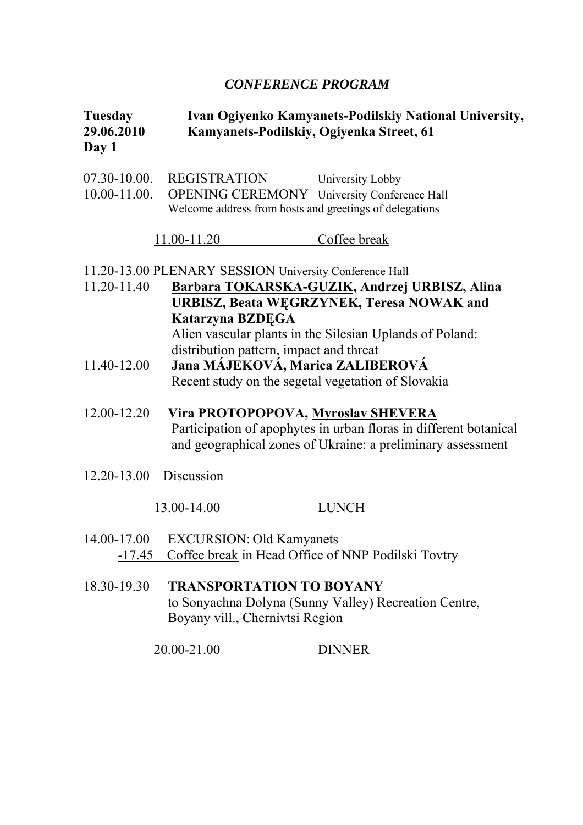## *CONFERENCE PROGRAM*

## **Tuesday Ivan Ogiyenko Kamyanets-Podilskiy National University, 29.06.2010 Kamyanets-Podilskiy, Ogiyenka Street, 61 Day 1**

| 07.30-10.00.<br>10.00-11.00. | REGISTRATION<br><b>OPENING CEREMONY</b> University Conference Hall<br>Welcome address from hosts and greetings of delegations | University Lobby                                                                                                                 |
|------------------------------|-------------------------------------------------------------------------------------------------------------------------------|----------------------------------------------------------------------------------------------------------------------------------|
|                              | $11.00 - 11.20$                                                                                                               | Coffee break                                                                                                                     |
|                              | 11.20-13.00 PLENARY SESSION University Conference Hall                                                                        |                                                                                                                                  |
| 11.20-11.40                  | Katarzyna BZDĘGA                                                                                                              | Barbara TOKARSKA-GUZIK, Andrzej URBISZ, Alina<br>URBISZ, Beata WEGRZYNEK, Teresa NOWAK and                                       |
|                              | distribution pattern, impact and threat                                                                                       | Alien vascular plants in the Silesian Uplands of Poland:                                                                         |
| 11.40-12.00                  | Jana MÁJEKOVÁ, Marica ZALIBEROVÁ<br>Recent study on the segetal vegetation of Slovakia                                        |                                                                                                                                  |
| 12.00-12.20                  | Vira PROTOPOPOVA, Myroslav SHEVERA                                                                                            | Participation of apophytes in urban floras in different botanical<br>and geographical zones of Ukraine: a preliminary assessment |
| 12.20-13.00 Discussion       |                                                                                                                               |                                                                                                                                  |
|                              | 13.00-14.00                                                                                                                   | <b>LUNCH</b>                                                                                                                     |
| 14.00-17.00<br><u>-17.45</u> | <b>EXCURSION: Old Kamyanets</b><br>Coffee break in Head Office of NNP Podilski Tovtry                                         |                                                                                                                                  |
| 18.30-19.30                  | <b>TRANSPORTATION TO BOYANY</b>                                                                                               | to Sonyachna Dolyna (Sunny Valley) Recreation Centre,                                                                            |

Boyany vill., Chernivtsi Region

20.00-21.00 DINNER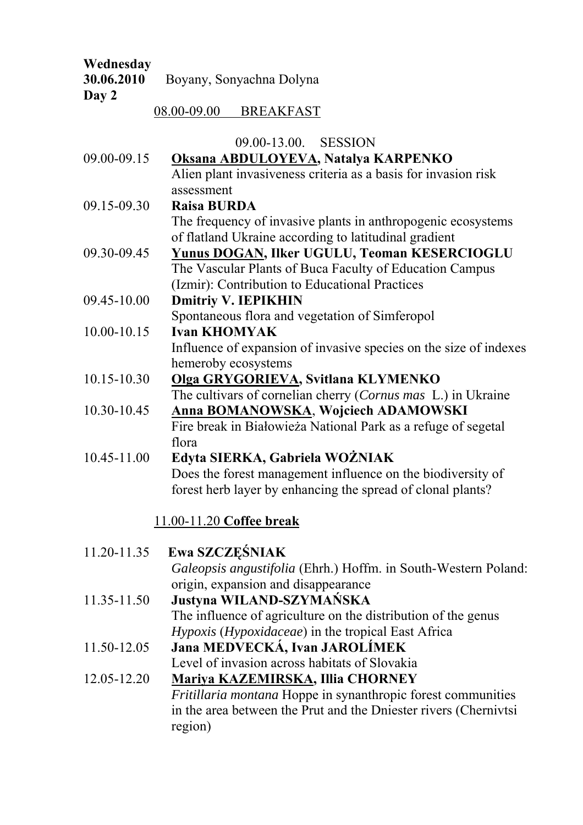# **Wednesday 30.06.2010** Boyany, Sonyachna Dolyna **Day 2**

08.00-09.00 BREAKFAST

09.00-13.00. SESSION

|                          | <u>02.00-12.00. DEBBIOIN</u>                                      |  |  |
|--------------------------|-------------------------------------------------------------------|--|--|
| 09.00-09.15              | Oksana ABDULOYEVA, Natalya KARPENKO                               |  |  |
|                          | Alien plant invasiveness criteria as a basis for invasion risk    |  |  |
|                          | assessment                                                        |  |  |
| 09.15-09.30              | <b>Raisa BURDA</b>                                                |  |  |
|                          | The frequency of invasive plants in anthropogenic ecosystems      |  |  |
|                          | of flatland Ukraine according to latitudinal gradient             |  |  |
| 09.30-09.45              | <b>Yunus DOGAN, Ilker UGULU, Teoman KESERCIOGLU</b>               |  |  |
|                          | The Vascular Plants of Buca Faculty of Education Campus           |  |  |
|                          | (Izmir): Contribution to Educational Practices                    |  |  |
| 09.45-10.00              | <b>Dmitriy V. IEPIKHIN</b>                                        |  |  |
|                          | Spontaneous flora and vegetation of Simferopol                    |  |  |
| 10.00-10.15              | <b>Ivan KHOMYAK</b>                                               |  |  |
|                          | Influence of expansion of invasive species on the size of indexes |  |  |
|                          | hemeroby ecosystems                                               |  |  |
| 10.15-10.30              | Olga GRYGORIEVA, Svitlana KLYMENKO                                |  |  |
|                          | The cultivars of cornelian cherry (Cornus mas L.) in Ukraine      |  |  |
| 10.30-10.45              | <b>Anna BOMANOWSKA, Wojciech ADAMOWSKI</b>                        |  |  |
|                          | Fire break in Białowieża National Park as a refuge of segetal     |  |  |
|                          | flora                                                             |  |  |
| 10.45-11.00              | Edyta SIERKA, Gabriela WOŻNIAK                                    |  |  |
|                          | Does the forest management influence on the biodiversity of       |  |  |
|                          | forest herb layer by enhancing the spread of clonal plants?       |  |  |
|                          |                                                                   |  |  |
| 11.00-11.20 Coffee break |                                                                   |  |  |

| 11.20-11.35 | Ewa SZCZEŚNIAK                                                      |
|-------------|---------------------------------------------------------------------|
|             | Galeopsis angustifolia (Ehrh.) Hoffm. in South-Western Poland:      |
|             | origin, expansion and disappearance                                 |
| 11.35-11.50 | Justyna WILAND-SZYMAŃSKA                                            |
|             | The influence of agriculture on the distribution of the genus       |
|             | Hypoxis (Hypoxidaceae) in the tropical East Africa                  |
| 11.50-12.05 | Jana MEDVECKÁ, Ivan JAROLÍMEK                                       |
|             | Level of invasion across habitats of Slovakia                       |
| 12.05-12.20 | Mariya KAZEMIRSKA, Illia CHORNEY                                    |
|             | <i>Fritillaria montana</i> Hoppe in synanthropic forest communities |
|             | in the area between the Prut and the Dniester rivers (Chernivtsi    |
|             | region)                                                             |
|             |                                                                     |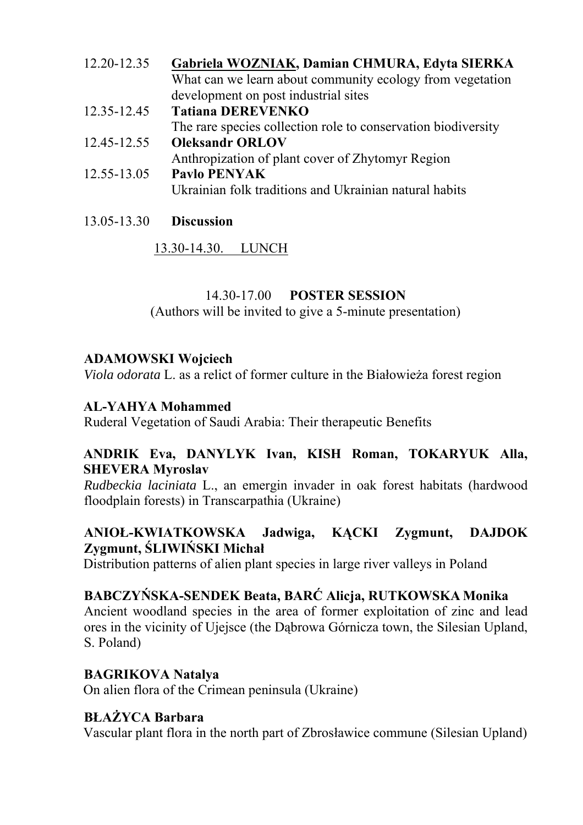| 12.20-12.35 | Gabriela WOZNIAK, Damian CHMURA, Edyta SIERKA                 |
|-------------|---------------------------------------------------------------|
|             | What can we learn about community ecology from vegetation     |
|             | development on post industrial sites                          |
| 12.35-12.45 | <b>Tatiana DEREVENKO</b>                                      |
|             | The rare species collection role to conservation biodiversity |
| 12.45-12.55 | <b>Oleksandr ORLOV</b>                                        |
|             | Anthropization of plant cover of Zhytomyr Region              |
| 12.55-13.05 | <b>Paylo PENYAK</b>                                           |
|             | Ukrainian folk traditions and Ukrainian natural habits        |
|             |                                                               |

13.05-13.30 **Discussion**

13.30-14.30. LUNCH

# 14.30-17.00 **POSTER SESSION**

(Authors will be invited to give a 5-minute presentation)

# **ADAMOWSKI Wojciech**

*Viola odorata* L. as a relict of former culture in the Białowieża forest region

## **AL-YAHYA Mohammed**

Ruderal Vegetation of Saudi Arabia: Their therapeutic Benefits

## **ANDRIK Eva, DANYLYK Ivan, KISH Roman, TOKARYUK Alla, SHEVERA Myroslav**

*Rudbeckia laciniata* L., an emergin invader in oak forest habitats (hardwood floodplain forests) in Transcarpathia (Ukraine)

## **ANIOŁ-KWIATKOWSKA Jadwiga, KĄCKI Zygmunt, DAJDOK Zygmunt, ŚLIWIŃSKI Michał**

Distribution patterns of alien plant species in large river valleys in Poland

# **BABCZYŃSKA-SENDEK Beata, BARĆ Alicja, RUTKOWSKA Monika**

Ancient woodland species in the area of former exploitation of zinc and lead ores in the vicinity of Ujejsce (the Dąbrowa Górnicza town, the Silesian Upland, S. Poland)

# **BAGRIKOVA Natalya**

On alien flora of the Crimean peninsula (Ukraine)

# **BŁAŻYCA Barbara**

Vascular plant flora in the north part of Zbrosławice commune (Silesian Upland)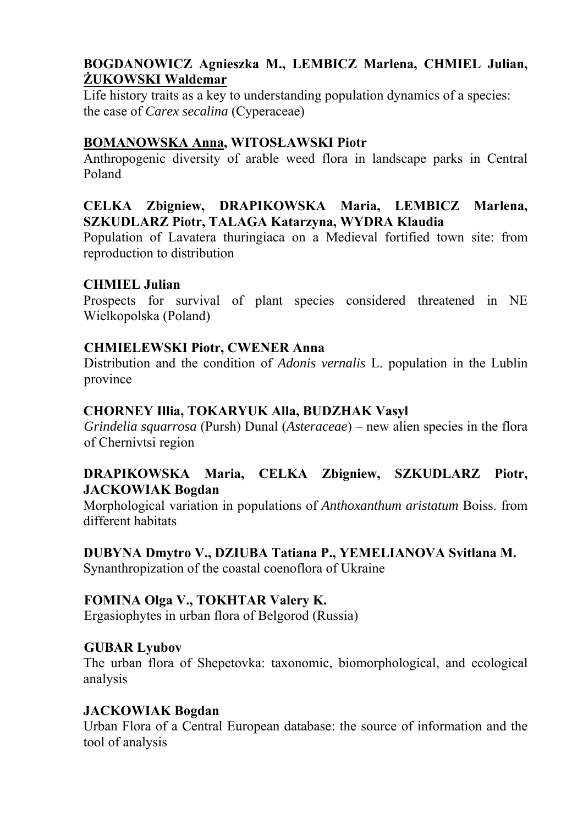## **BOGDANOWICZ Agnieszka M., LEMBICZ Marlena, CHMIEL Julian, ŻUKOWSKI Waldemar**

Life history traits as a key to understanding population dynamics of a species: the case of *Carex secalina* (Cyperaceae)

## **BOMANOWSKA Anna, WITOSŁAWSKI Piotr**

Anthropogenic diversity of arable weed flora in landscape parks in Central Poland

## **CELKA Zbigniew, DRAPIKOWSKA Maria, LEMBICZ Marlena, SZKUDLARZ Piotr, TALAGA Katarzyna, WYDRA Klaudia**

Population of Lavatera thuringiaca on a Medieval fortified town site: from reproduction to distribution

## **CHMIEL Julian**

Prospects for survival of plant species considered threatened in NE Wielkopolska (Poland)

## **CHMIELEWSKI Piotr, CWENER Anna**

Distribution and the condition of *Adonis vernalis* L. population in the Lublin province

## **CHORNEY Illia, TOKARYUK Alla, BUDZHAK Vasyl**

*Grindelia squarrosa* (Pursh) Dunal (*Asteraceae*) – new alien species in the flora of Chernivtsi region

## **DRAPIKOWSKA Maria, CELKA Zbigniew, SZKUDLARZ Piotr, JACKOWIAK Bogdan**

Morphological variation in populations of *Anthoxanthum aristatum* Boiss. from different habitats

#### **DUBYNA Dmytro V., DZIUBA Tatiana P., YEMELIANOVA Svitlana M.**

Synanthropization of the coastal coenoflora of Ukraine

## **FOMINA Olga V., TOKHTAR Valery K.**

Ergasiophytes in urban flora of Belgorod (Russia)

#### **GUBAR Lyubov**

The urban flora of Shepetovka: taxonomic, biomorphological, and ecological analysis

#### **JACKOWIAK Bogdan**

Urban Flora of a Central European database: the source of information and the tool of analysis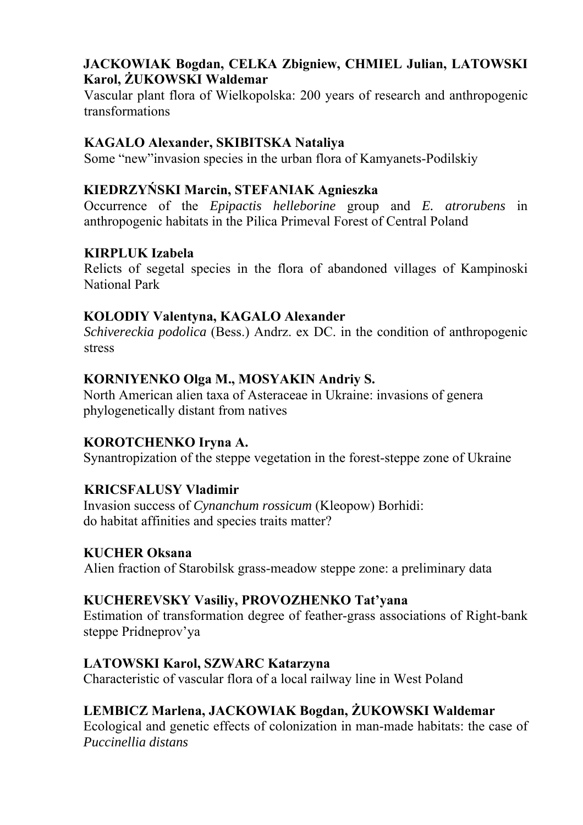## **JACKOWIAK Bogdan, CELKA Zbigniew, CHMIEL Julian, LATOWSKI Karol, ŻUKOWSKI Waldemar**

Vascular plant flora of Wielkopolska: 200 years of research and anthropogenic transformations

## **KAGALO Alexander, SKIBITSKA Nataliya**

Some "new"invasion species in the urban flora of Kamyanets-Podilskiy

## **KIEDRZYŃSKI Marcin, STEFANIAK Agnieszka**

Occurrence of the *Epipactis helleborine* group and *E. atrorubens* in anthropogenic habitats in the Pilica Primeval Forest of Central Poland

## **KIRPLUK Izabela**

Relicts of segetal species in the flora of abandoned villages of Kampinoski National Park

## **KOLODIY Valentyna, KAGALO Alexander**

*Schivereckia podolica* (Bess.) Andrz. ex DC. in the condition of anthropogenic stress

## **KORNIYENKO Olga M., MOSYAKIN Andriy S.**

North American alien taxa of Asteraceae in Ukraine: invasions of genera phylogenetically distant from natives

## **KOROTCHENKO Iryna A.**

Synantropization of the steppe vegetation in the forest-steppe zone of Ukraine

## **KRICSFALUSY Vladimir**

Invasion success of *Cynanchum rossicum* (Kleopow) Borhidi: do habitat affinities and species traits matter?

#### **KUCHER Oksana**

Alien fraction of Starobilsk grass-meadow steppe zone: a preliminary data

## **KUCHEREVSKY Vasiliy, PROVOZHENKO Tat'yana**

Estimation of transformation degree of feather-grass associations of Right-bank steppe Pridneprov'ya

## **LATOWSKI Karol, SZWARC Katarzyna**

Characteristic of vascular flora of a local railway line in West Poland

## **LEMBICZ Marlena, JACKOWIAK Bogdan, ŻUKOWSKI Waldemar**

Ecological and genetic effects of colonization in man-made habitats: the case of *Puccinellia distans*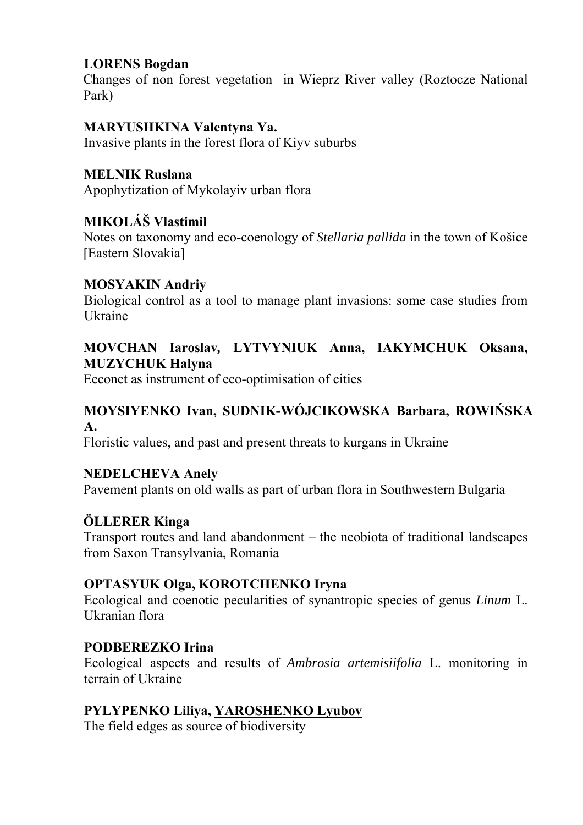## **LORENS Bogdan**

Changes of non forest vegetation in Wieprz River valley (Roztocze National Park)

## **MARYUSHKINA Valentyna Ya.**

Invasive plants in the forest flora of Kiyv suburbs

## **MELNIK Ruslana**

Apophytization of Mykolayiv urban flora

## **MIKOLÁŠ Vlastimil**

Notes on taxonomy and eco-coenology of *Stellaria pallida* in the town of Košice [Eastern Slovakia]

## **MOSYAKIN Andriy**

Biological control as a tool to manage plant invasions: some case studies from Ukraine

## **MOVCHAN Iaroslav***,* **LYTVYNIUK Anna, IAKYMCHUK Oksana, MUZYCHUK Halyna**

Eeconet as instrument of eco-optimisation of cities

## **MOYSIYENKO Ivan, SUDNIK-WÓJCIKOWSKA Barbara, ROWIŃSKA A.**

Floristic values, and past and present threats to kurgans in Ukraine

## **NEDELCHEVA Anely**

Pavement plants on old walls as part of urban flora in Southwestern Bulgaria

## **ÖLLERER Kinga**

Transport routes and land abandonment – the neobiota of traditional landscapes from Saxon Transylvania, Romania

## **OPTASYUK Olga, KOROTCHENKO Iryna**

Ecological and coenotic pecularities of synantropic species of genus *Linum* L. Ukranian flora

## **PODBEREZKO Irina**

Ecological aspects and results of *Ambrosia artemisiifolia* L. monitoring in terrain of Ukraine

## **PYLYPENKO Liliya, YAROSHENKO Lyubov**

The field edges as source of biodiversity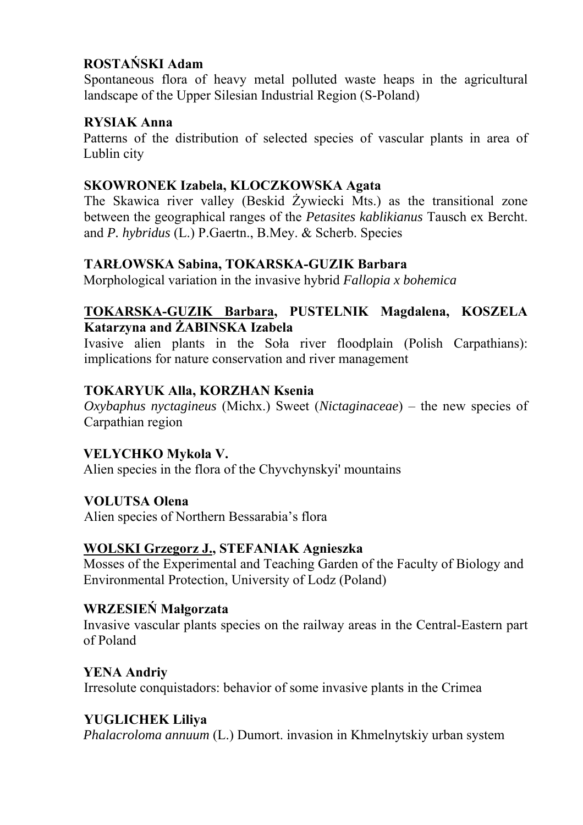## **ROSTAŃSKI Adam**

Spontaneous flora of heavy metal polluted waste heaps in the agricultural landscape of the Upper Silesian Industrial Region (S-Poland)

## **RYSIAK Anna**

Patterns of the distribution of selected species of vascular plants in area of Lublin city

## **SKOWRONEK Izabela, KLOCZKOWSKA Agata**

The Skawica river valley (Beskid Żywiecki Mts.) as the transitional zone between the geographical ranges of the *Petasites kablikianus* Tausch ex Bercht. and *P. hybridus* (L.) P.Gaertn., B.Mey. & Scherb. Species

## **TARŁOWSKA Sabina, TOKARSKA-GUZIK Barbara**

Morphological variation in the invasive hybrid *Fallopia x bohemica* 

## **TOKARSKA-GUZIK Barbara, PUSTELNIK Magdalena, KOSZELA Katarzyna and ŻABINSKA Izabela**

Ivasive alien plants in the Soła river floodplain (Polish Carpathians): implications for nature conservation and river management

## **TOKARYUK Alla, KORZHAN Ksenia**

*Oxybaphus nyctagineus* (Michx.) Sweet (*Nictaginaceae*) – the new species of Carpathian region

## **VELYCHKO Mykola V.**

Alien species in the flora of the Chyvchynskyi' mountains

## **VOLUTSA Olena**

Alien species of Northern Bessarabia's flora

## **WOLSKI Grzegorz J., STEFANIAK Agnieszka**

Mosses of the Experimental and Teaching Garden of the Faculty of Biology and Environmental Protection, University of Lodz (Poland)

## **WRZESIEŃ Małgorzata**

Invasive vascular plants species on the railway areas in the Central-Eastern part of Poland

## **YENA Andriy**  Irresolute conquistadors: behavior of some invasive plants in the Crimea

## **YUGLICHEK Liliya**

*Phalacroloma annuum* (L.) Dumort. invasion in Khmelnytskiy urban system